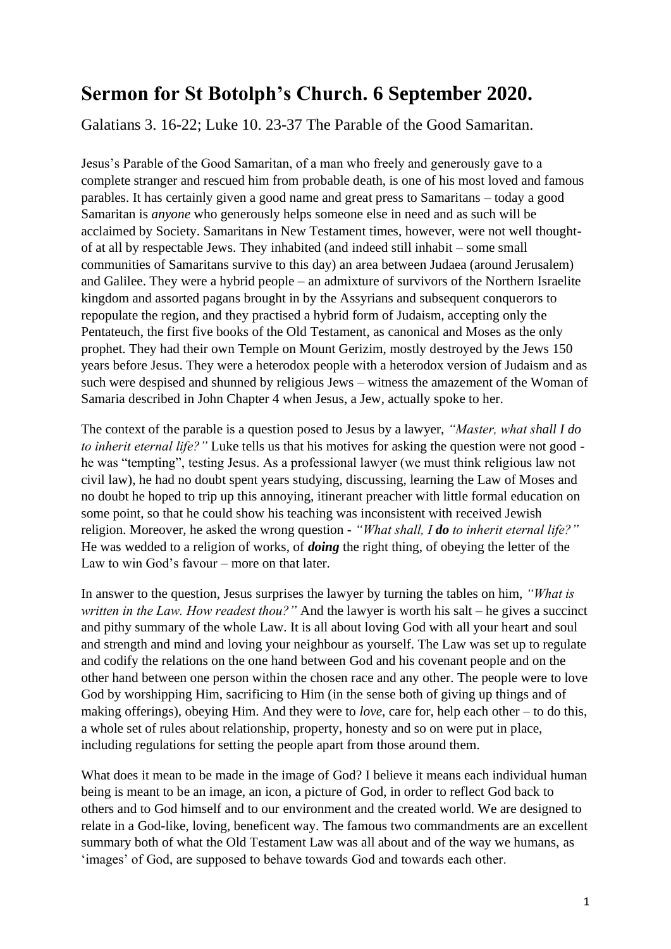## **Sermon for St Botolph's Church. 6 September 2020.**

Galatians 3. 16-22; Luke 10. 23-37 The Parable of the Good Samaritan.

Jesus's Parable of the Good Samaritan, of a man who freely and generously gave to a complete stranger and rescued him from probable death, is one of his most loved and famous parables. It has certainly given a good name and great press to Samaritans – today a good Samaritan is *anyone* who generously helps someone else in need and as such will be acclaimed by Society. Samaritans in New Testament times, however, were not well thoughtof at all by respectable Jews. They inhabited (and indeed still inhabit – some small communities of Samaritans survive to this day) an area between Judaea (around Jerusalem) and Galilee. They were a hybrid people – an admixture of survivors of the Northern Israelite kingdom and assorted pagans brought in by the Assyrians and subsequent conquerors to repopulate the region, and they practised a hybrid form of Judaism, accepting only the Pentateuch, the first five books of the Old Testament, as canonical and Moses as the only prophet. They had their own Temple on Mount Gerizim, mostly destroyed by the Jews 150 years before Jesus. They were a heterodox people with a heterodox version of Judaism and as such were despised and shunned by religious Jews – witness the amazement of the Woman of Samaria described in John Chapter 4 when Jesus, a Jew, actually spoke to her.

The context of the parable is a question posed to Jesus by a lawyer, *"Master, what shall I do to inherit eternal life?"* Luke tells us that his motives for asking the question were not good he was "tempting", testing Jesus. As a professional lawyer (we must think religious law not civil law), he had no doubt spent years studying, discussing, learning the Law of Moses and no doubt he hoped to trip up this annoying, itinerant preacher with little formal education on some point, so that he could show his teaching was inconsistent with received Jewish religion. Moreover, he asked the wrong question - *"What shall, I do to inherit eternal life?"*  He was wedded to a religion of works, of *doing* the right thing, of obeying the letter of the Law to win God's favour – more on that later.

In answer to the question, Jesus surprises the lawyer by turning the tables on him, *"What is written in the Law. How readest thou?"* And the lawyer is worth his salt – he gives a succinct and pithy summary of the whole Law. It is all about loving God with all your heart and soul and strength and mind and loving your neighbour as yourself. The Law was set up to regulate and codify the relations on the one hand between God and his covenant people and on the other hand between one person within the chosen race and any other. The people were to love God by worshipping Him, sacrificing to Him (in the sense both of giving up things and of making offerings), obeying Him. And they were to *love*, care for, help each other – to do this, a whole set of rules about relationship, property, honesty and so on were put in place, including regulations for setting the people apart from those around them.

What does it mean to be made in the image of God? I believe it means each individual human being is meant to be an image, an icon, a picture of God, in order to reflect God back to others and to God himself and to our environment and the created world. We are designed to relate in a God-like, loving, beneficent way. The famous two commandments are an excellent summary both of what the Old Testament Law was all about and of the way we humans, as 'images' of God, are supposed to behave towards God and towards each other.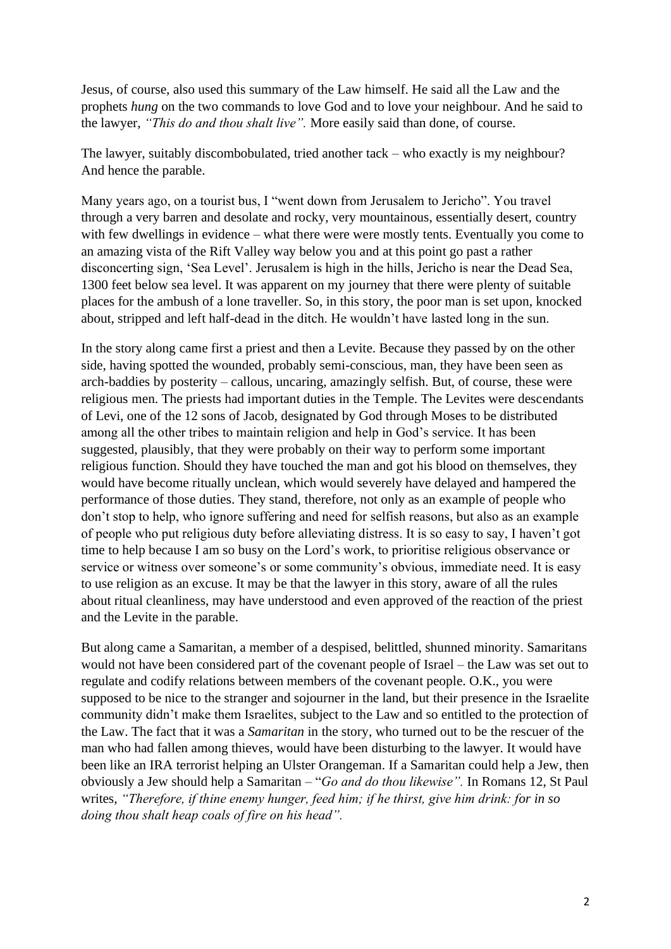Jesus, of course, also used this summary of the Law himself. He said all the Law and the prophets *hung* on the two commands to love God and to love your neighbour. And he said to the lawyer, *"This do and thou shalt live".* More easily said than done, of course.

The lawyer, suitably discombobulated, tried another tack – who exactly is my neighbour? And hence the parable.

Many years ago, on a tourist bus, I "went down from Jerusalem to Jericho". You travel through a very barren and desolate and rocky, very mountainous, essentially desert, country with few dwellings in evidence – what there were were mostly tents. Eventually you come to an amazing vista of the Rift Valley way below you and at this point go past a rather disconcerting sign, 'Sea Level'. Jerusalem is high in the hills, Jericho is near the Dead Sea, 1300 feet below sea level. It was apparent on my journey that there were plenty of suitable places for the ambush of a lone traveller. So, in this story, the poor man is set upon, knocked about, stripped and left half-dead in the ditch. He wouldn't have lasted long in the sun.

In the story along came first a priest and then a Levite. Because they passed by on the other side, having spotted the wounded, probably semi-conscious, man, they have been seen as arch-baddies by posterity – callous, uncaring, amazingly selfish. But, of course, these were religious men. The priests had important duties in the Temple. The Levites were descendants of Levi, one of the 12 sons of Jacob, designated by God through Moses to be distributed among all the other tribes to maintain religion and help in God's service. It has been suggested, plausibly, that they were probably on their way to perform some important religious function. Should they have touched the man and got his blood on themselves, they would have become ritually unclean, which would severely have delayed and hampered the performance of those duties. They stand, therefore, not only as an example of people who don't stop to help, who ignore suffering and need for selfish reasons, but also as an example of people who put religious duty before alleviating distress. It is so easy to say, I haven't got time to help because I am so busy on the Lord's work, to prioritise religious observance or service or witness over someone's or some community's obvious, immediate need. It is easy to use religion as an excuse. It may be that the lawyer in this story, aware of all the rules about ritual cleanliness, may have understood and even approved of the reaction of the priest and the Levite in the parable.

But along came a Samaritan, a member of a despised, belittled, shunned minority. Samaritans would not have been considered part of the covenant people of Israel – the Law was set out to regulate and codify relations between members of the covenant people. O.K., you were supposed to be nice to the stranger and sojourner in the land, but their presence in the Israelite community didn't make them Israelites, subject to the Law and so entitled to the protection of the Law. The fact that it was a *Samaritan* in the story, who turned out to be the rescuer of the man who had fallen among thieves, would have been disturbing to the lawyer. It would have been like an IRA terrorist helping an Ulster Orangeman. If a Samaritan could help a Jew, then obviously a Jew should help a Samaritan – "*Go and do thou likewise".* In Romans 12, St Paul writes, *"Therefore, if thine enemy hunger, feed him; if he thirst, give him drink: for in so doing thou shalt heap coals of fire on his head".*